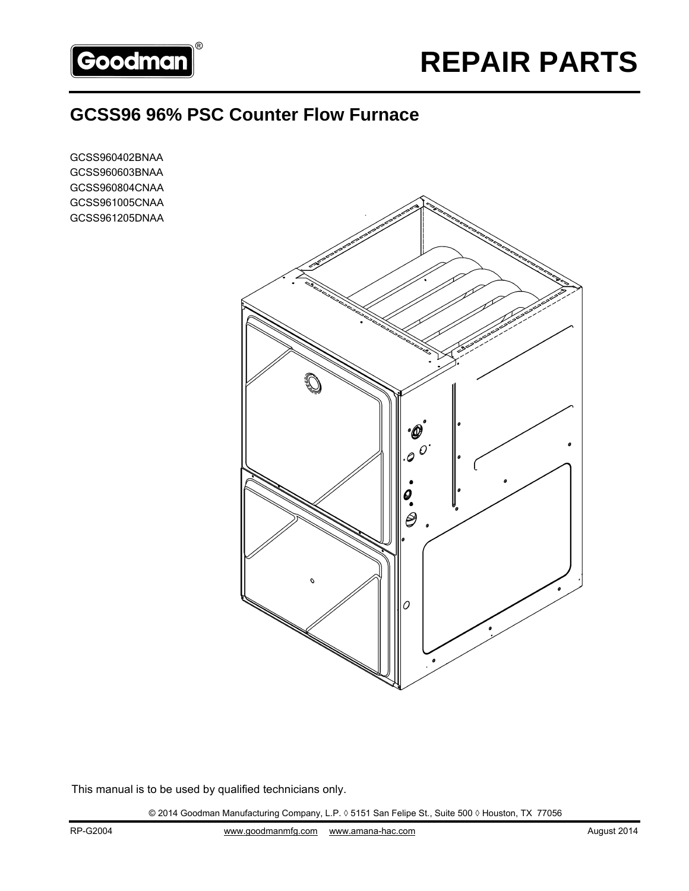

## **GCSS96 96% PSC Counter Flow Furnace**

GCSS960402BNAA GCSS960603BNAA GCSS960804CNAA GCSS961005CNAA GCSS961205DNAA



This manual is to be used by qualified technicians only.

© 2014 Goodman Manufacturing Company, L.P. ◊ 5151 San Felipe St., Suite 500 ◊ Houston, TX 77056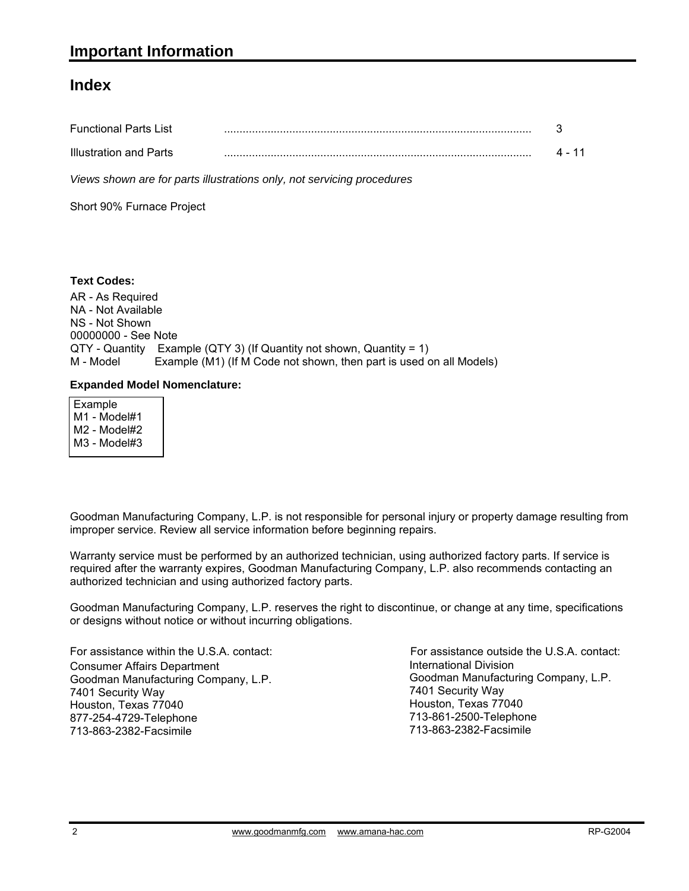### **Index**

| <b>Functional Parts List</b> |  |
|------------------------------|--|
| Illustration and Parts       |  |

*Views shown are for parts illustrations only, not servicing procedures*

Short 90% Furnace Project

### **Text Codes:**

AR - As Required NA - Not Available NS - Not Shown 00000000 - See Note QTY - Quantity Example (QTY 3) (If Quantity not shown, Quantity = 1) M - Model Example (M1) (If M Code not shown, then part is used on all Models)

### **Expanded Model Nomenclature:**

 Example M1 - Model#1 M2 - Model#2 M3 - Model#3

Goodman Manufacturing Company, L.P. is not responsible for personal injury or property damage resulting from improper service. Review all service information before beginning repairs.

Warranty service must be performed by an authorized technician, using authorized factory parts. If service is required after the warranty expires, Goodman Manufacturing Company, L.P. also recommends contacting an authorized technician and using authorized factory parts.

Goodman Manufacturing Company, L.P. reserves the right to discontinue, or change at any time, specifications or designs without notice or without incurring obligations.

For assistance within the U.S.A. contact: Consumer Affairs Department Goodman Manufacturing Company, L.P. 7401 Security Way Houston, Texas 77040 877-254-4729-Telephone 713-863-2382-Facsimile

International Division International Division<br>Goodman Manufacturing Company, L.P. 7401 Security Way Houston, Texas 77040 713-861-2500-Telephone 713-863-2382-Facsimile For assistance outside the U.S.A. contact: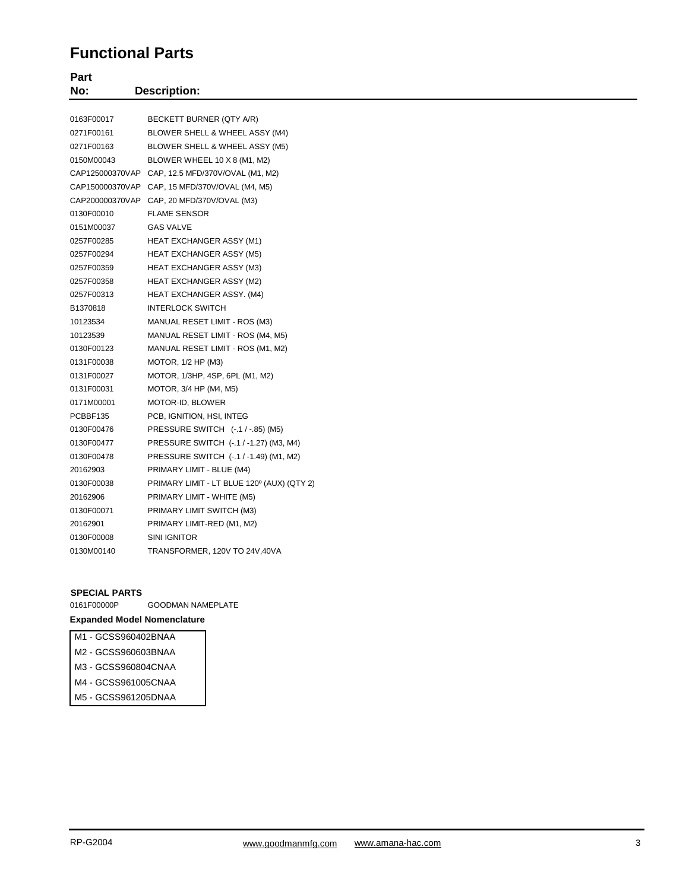### **Functional Parts**

| Part<br>No:<br><b>Description:</b> |                                                  |  |  |
|------------------------------------|--------------------------------------------------|--|--|
|                                    |                                                  |  |  |
| 0163F00017                         | BECKETT BURNER (QTY A/R)                         |  |  |
| 0271F00161                         | BLOWER SHELL & WHEEL ASSY (M4)                   |  |  |
| 0271F00163                         | BLOWER SHELL & WHEEL ASSY (M5)                   |  |  |
| 0150M00043                         | BLOWER WHEEL 10 X 8 (M1, M2)                     |  |  |
|                                    | CAP125000370VAP CAP, 12.5 MFD/370V/OVAL (M1, M2) |  |  |
|                                    | CAP150000370VAP CAP, 15 MFD/370V/OVAL (M4, M5)   |  |  |
|                                    | CAP200000370VAP CAP, 20 MFD/370V/OVAL (M3)       |  |  |
| 0130F00010                         | <b>FLAME SENSOR</b>                              |  |  |
| 0151M00037                         | <b>GAS VALVE</b>                                 |  |  |
| 0257F00285                         | HEAT EXCHANGER ASSY (M1)                         |  |  |
| 0257F00294                         | <b>HEAT EXCHANGER ASSY (M5)</b>                  |  |  |
| 0257F00359                         | <b>HEAT EXCHANGER ASSY (M3)</b>                  |  |  |
| 0257F00358                         | HEAT EXCHANGER ASSY (M2)                         |  |  |
| 0257F00313                         | HEAT EXCHANGER ASSY. (M4)                        |  |  |
| B1370818                           | <b>INTERLOCK SWITCH</b>                          |  |  |
| 10123534                           | MANUAL RESET LIMIT - ROS (M3)                    |  |  |
| 10123539                           | MANUAL RESET LIMIT - ROS (M4, M5)                |  |  |
| 0130F00123                         | MANUAL RESET LIMIT - ROS (M1, M2)                |  |  |
| 0131F00038                         | MOTOR, 1/2 HP (M3)                               |  |  |
| 0131F00027                         | MOTOR, 1/3HP, 4SP, 6PL (M1, M2)                  |  |  |
| 0131F00031                         | MOTOR, 3/4 HP (M4, M5)                           |  |  |
| 0171M00001                         | MOTOR-ID, BLOWER                                 |  |  |
| PCBBF135                           | PCB, IGNITION, HSI, INTEG                        |  |  |
| 0130F00476                         | PRESSURE SWITCH (-.1 / -.85) (M5)                |  |  |
| 0130F00477                         | PRESSURE SWITCH (-.1 / -1.27) (M3, M4)           |  |  |
| 0130F00478                         | PRESSURE SWITCH (-.1 / -1.49) (M1, M2)           |  |  |
| 20162903                           | PRIMARY LIMIT - BLUE (M4)                        |  |  |
| 0130F00038                         | PRIMARY LIMIT - LT BLUE 120° (AUX) (QTY 2)       |  |  |
| 20162906                           | PRIMARY LIMIT - WHITE (M5)                       |  |  |
| 0130F00071                         | PRIMARY LIMIT SWITCH (M3)                        |  |  |
| 20162901                           | PRIMARY LIMIT-RED (M1, M2)                       |  |  |
| 0130F00008                         | SINI IGNITOR                                     |  |  |
| 0130M00140                         | TRANSFORMER, 120V TO 24V,40VA                    |  |  |

#### **SPECIAL PARTS**

| 0161F00000P                        | <b>GOODMAN NAMEPLATE</b> |  |  |
|------------------------------------|--------------------------|--|--|
| <b>Expanded Model Nomenclature</b> |                          |  |  |

#### M1 - GCSS960402BNAA

- M2 GCSS960603BNAA
- M3 GCSS960804CNAA
- M4 GCSS961005CNAA
- M5 GCSS961205DNAA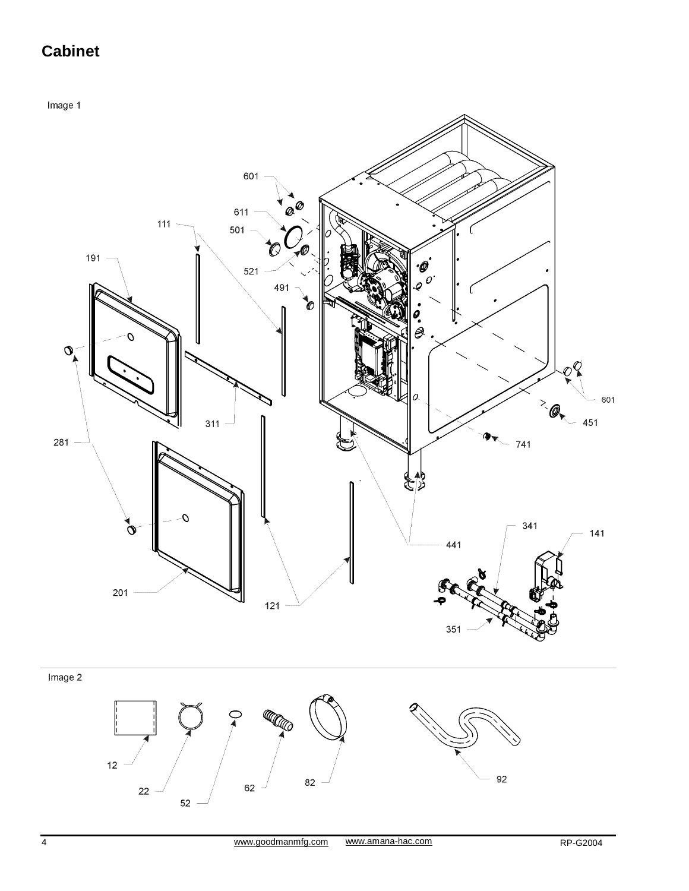# **Cabinet**

Image 1



 $52\,$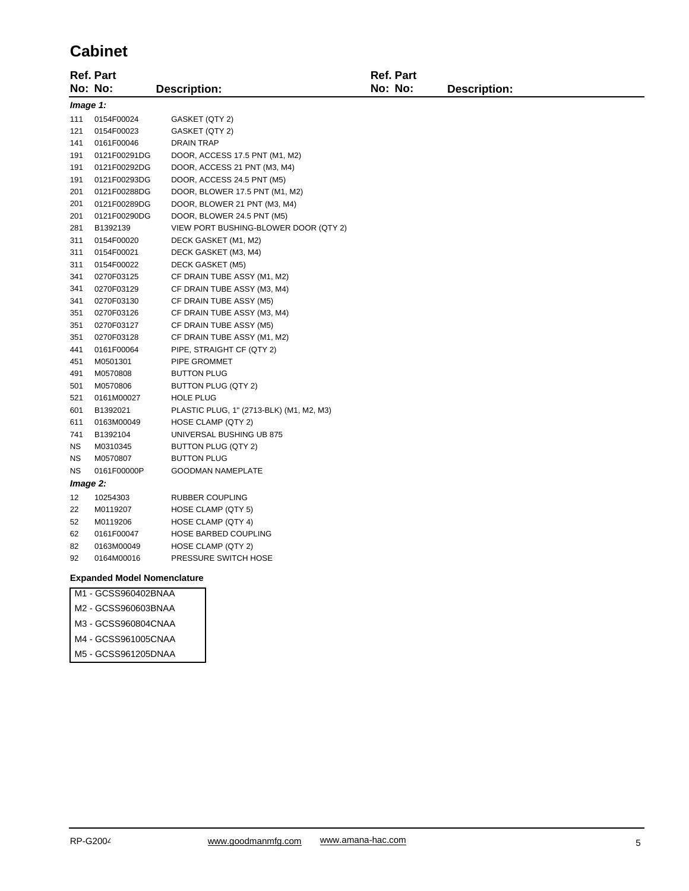### **Cabinet**

|           | <b>Ref. Part</b> |                                          | <b>Ref. Part</b> |                     |
|-----------|------------------|------------------------------------------|------------------|---------------------|
|           | No: No:          | <b>Description:</b>                      | No: No:          | <b>Description:</b> |
|           | Image 1:         |                                          |                  |                     |
| 111       | 0154F00024       | GASKET (QTY 2)                           |                  |                     |
| 121       | 0154F00023       | GASKET (QTY 2)                           |                  |                     |
| 141       | 0161F00046       | <b>DRAIN TRAP</b>                        |                  |                     |
| 191       | 0121F00291DG     | DOOR, ACCESS 17.5 PNT (M1, M2)           |                  |                     |
| 191       | 0121F00292DG     | DOOR, ACCESS 21 PNT (M3, M4)             |                  |                     |
| 191       | 0121F00293DG     | DOOR, ACCESS 24.5 PNT (M5)               |                  |                     |
| 201       | 0121F00288DG     | DOOR, BLOWER 17.5 PNT (M1, M2)           |                  |                     |
| 201       | 0121F00289DG     | DOOR, BLOWER 21 PNT (M3, M4)             |                  |                     |
| 201       | 0121F00290DG     | DOOR, BLOWER 24.5 PNT (M5)               |                  |                     |
| 281       | B1392139         | VIEW PORT BUSHING-BLOWER DOOR (QTY 2)    |                  |                     |
| 311       | 0154F00020       | DECK GASKET (M1, M2)                     |                  |                     |
| 311       | 0154F00021       | DECK GASKET (M3, M4)                     |                  |                     |
| 311       | 0154F00022       | DECK GASKET (M5)                         |                  |                     |
| 341       | 0270F03125       | CF DRAIN TUBE ASSY (M1, M2)              |                  |                     |
| 341       | 0270F03129       | CF DRAIN TUBE ASSY (M3, M4)              |                  |                     |
| 341       | 0270F03130       | CF DRAIN TUBE ASSY (M5)                  |                  |                     |
| 351       | 0270F03126       | CF DRAIN TUBE ASSY (M3, M4)              |                  |                     |
| 351       | 0270F03127       | CF DRAIN TUBE ASSY (M5)                  |                  |                     |
| 351       | 0270F03128       | CF DRAIN TUBE ASSY (M1, M2)              |                  |                     |
| 441       | 0161F00064       | PIPE, STRAIGHT CF (QTY 2)                |                  |                     |
| 451       | M0501301         | PIPE GROMMET                             |                  |                     |
| 491       | M0570808         | <b>BUTTON PLUG</b>                       |                  |                     |
| 501       | M0570806         | BUTTON PLUG (QTY 2)                      |                  |                     |
| 521       | 0161M00027       | <b>HOLE PLUG</b>                         |                  |                     |
| 601       | B1392021         | PLASTIC PLUG, 1" (2713-BLK) (M1, M2, M3) |                  |                     |
| 611       | 0163M00049       | HOSE CLAMP (QTY 2)                       |                  |                     |
| 741       | B1392104         | UNIVERSAL BUSHING UB 875                 |                  |                     |
| ΝS        | M0310345         | BUTTON PLUG (QTY 2)                      |                  |                     |
| <b>NS</b> | M0570807         | <b>BUTTON PLUG</b>                       |                  |                     |
| <b>NS</b> | 0161F00000P      | <b>GOODMAN NAMEPLATE</b>                 |                  |                     |
|           | Image 2:         |                                          |                  |                     |
| 12        | 10254303         | RUBBER COUPLING                          |                  |                     |
| 22        | M0119207         | HOSE CLAMP (QTY 5)                       |                  |                     |
| 52        | M0119206         | HOSE CLAMP (QTY 4)                       |                  |                     |
| 62        | 0161F00047       | HOSE BARBED COUPLING                     |                  |                     |
| 82        | 0163M00049       | HOSE CLAMP (QTY 2)                       |                  |                     |
| 92        | 0164M00016       | PRESSURE SWITCH HOSE                     |                  |                     |

#### **Expanded Model Nomenclature**

| M1 - GCSS960402BNAA |  |
|---------------------|--|
| M2 - GCSS960603BNAA |  |

- M3 GCSS960804CNAA
- M4 GCSS961005CNAA
- M5 GCSS961205DNAA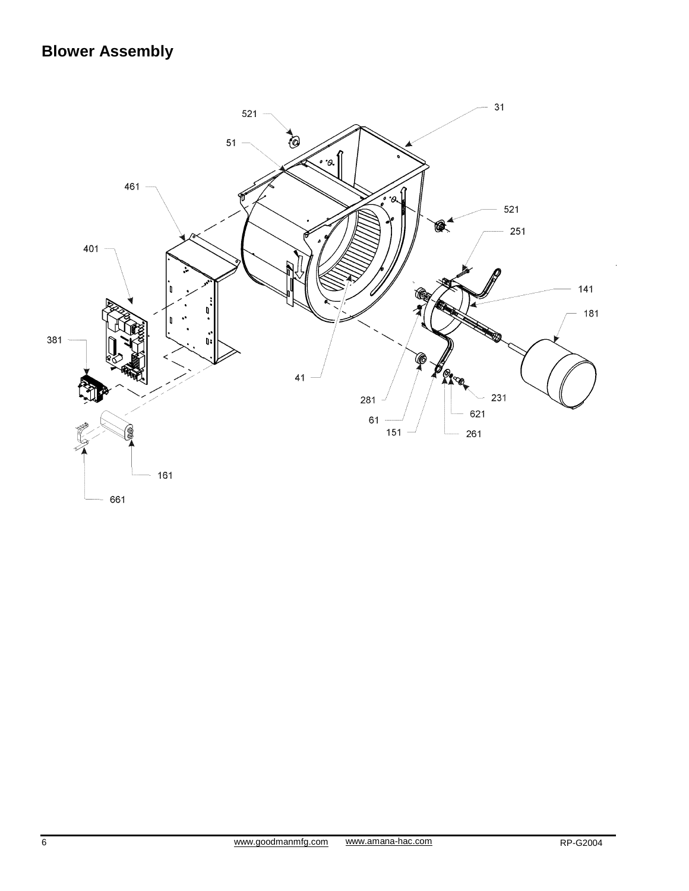# **Blower Assembly**

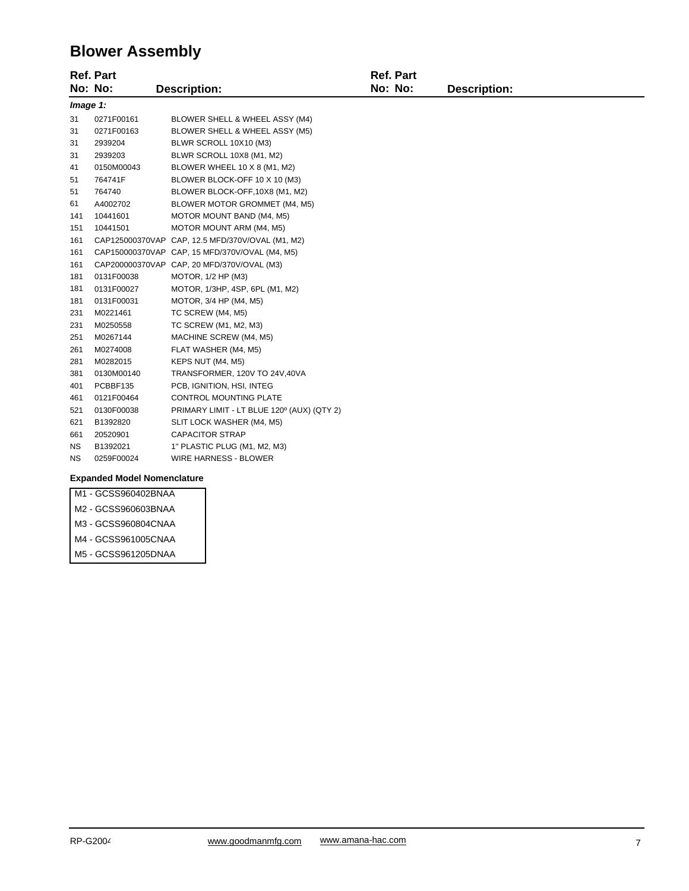## **Blower Assembly**

|           | <b>Ref. Part</b> |                                                  | <b>Ref. Part</b> |                     |
|-----------|------------------|--------------------------------------------------|------------------|---------------------|
|           | No: No:          | <b>Description:</b>                              | No: No:          | <b>Description:</b> |
| Image 1:  |                  |                                                  |                  |                     |
| 31        | 0271F00161       | BLOWER SHELL & WHEEL ASSY (M4)                   |                  |                     |
| 31        | 0271F00163       | BLOWER SHELL & WHEEL ASSY (M5)                   |                  |                     |
| 31        | 2939204          | BLWR SCROLL 10X10 (M3)                           |                  |                     |
| 31        | 2939203          | BLWR SCROLL 10X8 (M1, M2)                        |                  |                     |
| 41        | 0150M00043       | BLOWER WHEEL 10 X 8 (M1, M2)                     |                  |                     |
| 51        | 764741F          | BLOWER BLOCK-OFF 10 X 10 (M3)                    |                  |                     |
| 51        | 764740           | BLOWER BLOCK-OFF, 10X8 (M1, M2)                  |                  |                     |
| 61        | A4002702         | BLOWER MOTOR GROMMET (M4, M5)                    |                  |                     |
| 141       | 10441601         | MOTOR MOUNT BAND (M4, M5)                        |                  |                     |
| 151       | 10441501         | MOTOR MOUNT ARM (M4, M5)                         |                  |                     |
| 161       |                  | CAP125000370VAP CAP, 12.5 MFD/370V/OVAL (M1, M2) |                  |                     |
| 161       |                  | CAP150000370VAP CAP, 15 MFD/370V/OVAL (M4, M5)   |                  |                     |
| 161       |                  | CAP200000370VAP CAP, 20 MFD/370V/OVAL (M3)       |                  |                     |
| 181       | 0131F00038       | MOTOR, 1/2 HP (M3)                               |                  |                     |
| 181       | 0131F00027       | MOTOR, 1/3HP, 4SP, 6PL (M1, M2)                  |                  |                     |
| 181       | 0131F00031       | MOTOR, 3/4 HP (M4, M5)                           |                  |                     |
| 231       | M0221461         | TC SCREW (M4, M5)                                |                  |                     |
| 231       | M0250558         | TC SCREW (M1, M2, M3)                            |                  |                     |
| 251       | M0267144         | MACHINE SCREW (M4, M5)                           |                  |                     |
| 261       | M0274008         | FLAT WASHER (M4, M5)                             |                  |                     |
| 281       | M0282015         | KEPS NUT (M4, M5)                                |                  |                     |
| 381       | 0130M00140       | TRANSFORMER, 120V TO 24V,40VA                    |                  |                     |
| 401       | PCBBF135         | PCB, IGNITION, HSI, INTEG                        |                  |                     |
| 461       | 0121F00464       | CONTROL MOUNTING PLATE                           |                  |                     |
| 521       | 0130F00038       | PRIMARY LIMIT - LT BLUE 120° (AUX) (QTY 2)       |                  |                     |
| 621       | B1392820         | SLIT LOCK WASHER (M4, M5)                        |                  |                     |
| 661       | 20520901         | <b>CAPACITOR STRAP</b>                           |                  |                     |
| ΝS        | B1392021         | 1" PLASTIC PLUG (M1, M2, M3)                     |                  |                     |
| <b>NS</b> | 0259F00024       | WIRE HARNESS - BLOWER                            |                  |                     |
|           |                  |                                                  |                  |                     |

#### **Expanded Model Nomenclature**

- M1 GCSS960402BNAA
- M2 GCSS960603BNAA
- M3 GCSS960804CNAA
- M4 GCSS961005CNAA
- M5 GCSS961205DNAA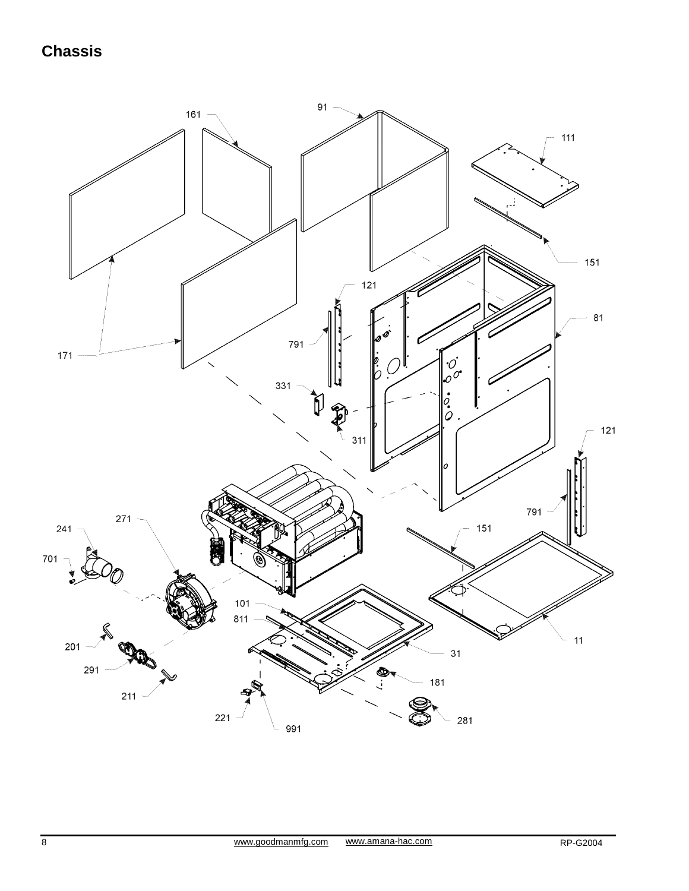## **Chassis**

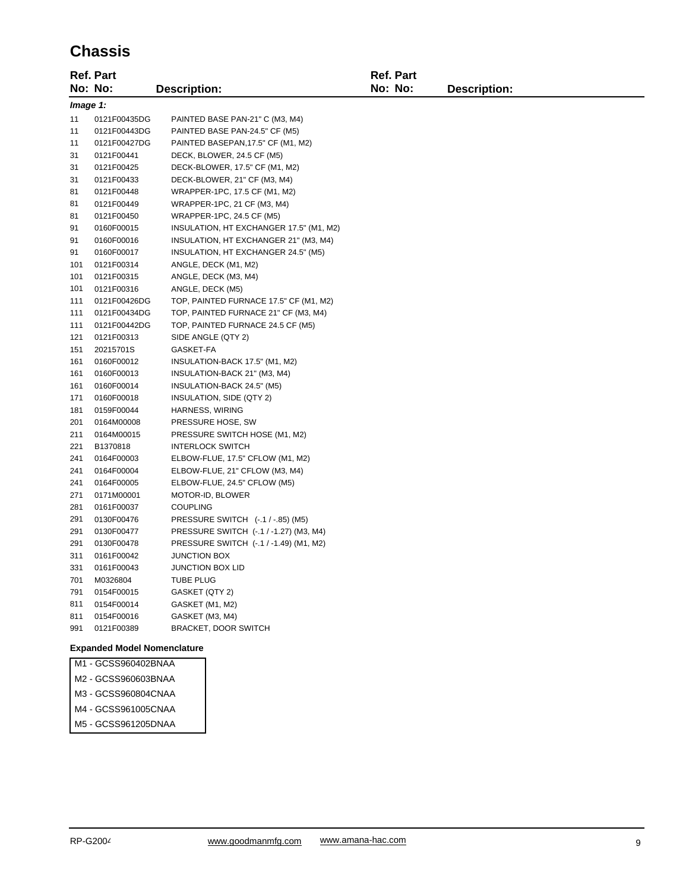### **Chassis**

|          | <b>Ref. Part</b>                                     |                                         | Ref. Part |                     |
|----------|------------------------------------------------------|-----------------------------------------|-----------|---------------------|
|          | No: No:                                              | <b>Description:</b>                     | No: No:   | <b>Description:</b> |
| Image 1: |                                                      |                                         |           |                     |
| 11       | 0121F00435DG                                         | PAINTED BASE PAN-21" C (M3, M4)         |           |                     |
| 11       | 0121F00443DG                                         | PAINTED BASE PAN-24.5" CF (M5)          |           |                     |
| 11       | 0121F00427DG                                         | PAINTED BASEPAN, 17.5" CF (M1, M2)      |           |                     |
| 31       | 0121F00441                                           | DECK, BLOWER, 24.5 CF (M5)              |           |                     |
| 31       | 0121F00425                                           | DECK-BLOWER, 17.5" CF (M1, M2)          |           |                     |
| 31       | 0121F00433                                           | DECK-BLOWER, 21" CF (M3, M4)            |           |                     |
| 81       | 0121F00448                                           | WRAPPER-1PC, 17.5 CF (M1, M2)           |           |                     |
| 81       | 0121F00449                                           | WRAPPER-1PC, 21 CF (M3, M4)             |           |                     |
| 81       | 0121F00450                                           | WRAPPER-1PC, 24.5 CF (M5)               |           |                     |
| 91       | 0160F00015                                           | INSULATION, HT EXCHANGER 17.5" (M1, M2) |           |                     |
| 91       | 0160F00016                                           | INSULATION, HT EXCHANGER 21" (M3, M4)   |           |                     |
| 91       | 0160F00017                                           | INSULATION, HT EXCHANGER 24.5" (M5)     |           |                     |
| 101      | 0121F00314                                           | ANGLE, DECK (M1, M2)                    |           |                     |
| 101      | 0121F00315                                           | ANGLE, DECK (M3, M4)                    |           |                     |
| 101      | 0121F00316                                           | ANGLE, DECK (M5)                        |           |                     |
| 111      | 0121F00426DG                                         | TOP, PAINTED FURNACE 17.5" CF (M1, M2)  |           |                     |
| 111      | 0121F00434DG                                         | TOP, PAINTED FURNACE 21" CF (M3, M4)    |           |                     |
| 111      | 0121F00442DG                                         | TOP, PAINTED FURNACE 24.5 CF (M5)       |           |                     |
| 121      | 0121F00313                                           | SIDE ANGLE (QTY 2)                      |           |                     |
| 151      | 20215701S                                            | GASKET-FA                               |           |                     |
| 161      | 0160F00012                                           | INSULATION-BACK 17.5" (M1, M2)          |           |                     |
| 161      | 0160F00013                                           | INSULATION-BACK 21" (M3, M4)            |           |                     |
| 161      | 0160F00014                                           | INSULATION-BACK 24.5" (M5)              |           |                     |
| 171      | 0160F00018                                           | INSULATION, SIDE (QTY 2)                |           |                     |
| 181      | 0159F00044                                           | HARNESS, WIRING                         |           |                     |
| 201      | 0164M00008                                           | PRESSURE HOSE, SW                       |           |                     |
| 211      | 0164M00015                                           | PRESSURE SWITCH HOSE (M1, M2)           |           |                     |
| 221      | B1370818                                             | <b>INTERLOCK SWITCH</b>                 |           |                     |
| 241      | 0164F00003                                           | ELBOW-FLUE, 17.5" CFLOW (M1, M2)        |           |                     |
| 241      | 0164F00004                                           | ELBOW-FLUE, 21" CFLOW (M3, M4)          |           |                     |
| 241      | 0164F00005                                           | ELBOW-FLUE, 24.5" CFLOW (M5)            |           |                     |
| 271      | 0171M00001                                           | MOTOR-ID, BLOWER                        |           |                     |
| 281      | 0161F00037                                           | <b>COUPLING</b>                         |           |                     |
| 291      | 0130F00476                                           | PRESSURE SWITCH (-.1 / -.85) (M5)       |           |                     |
| 291      | 0130F00477                                           | PRESSURE SWITCH (-.1 / -1.27) (M3, M4)  |           |                     |
| 291      | 0130F00478                                           | PRESSURE SWITCH (-.1 / -1.49) (M1, M2)  |           |                     |
| 311      | 0161F00042                                           | <b>JUNCTION BOX</b>                     |           |                     |
| 331      | 0161F00043                                           | <b>JUNCTION BOX LID</b>                 |           |                     |
| 701      | M0326804                                             | <b>TUBE PLUG</b>                        |           |                     |
| 791      | 0154F00015                                           | GASKET (QTY 2)                          |           |                     |
| 811      | 0154F00014                                           | GASKET (M1, M2)                         |           |                     |
| 811      | 0154F00016                                           | GASKET (M3, M4)                         |           |                     |
| 991      | 0121F00389                                           | BRACKET, DOOR SWITCH                    |           |                     |
|          | <b>Expanded Model Nomenclature</b><br>00000001000111 |                                         |           |                     |

M1 - GCSS960402BNAA M2 - GCSS960603BNAA M3 - GCSS960804CNAA M4 - GCSS961005CNAA M5 - GCSS961205DNAA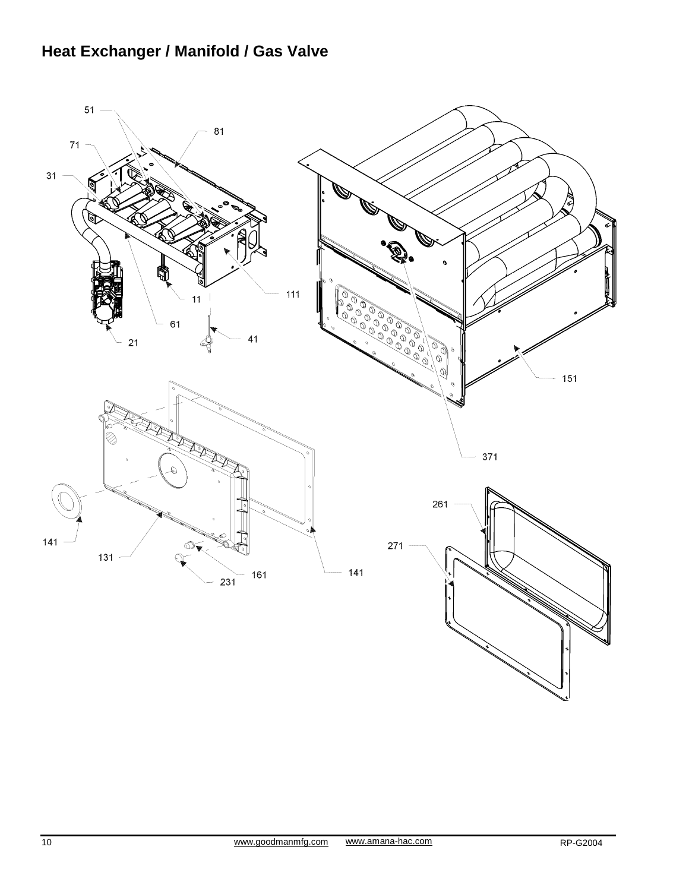# **Heat Exchanger / Manifold / Gas Valve**